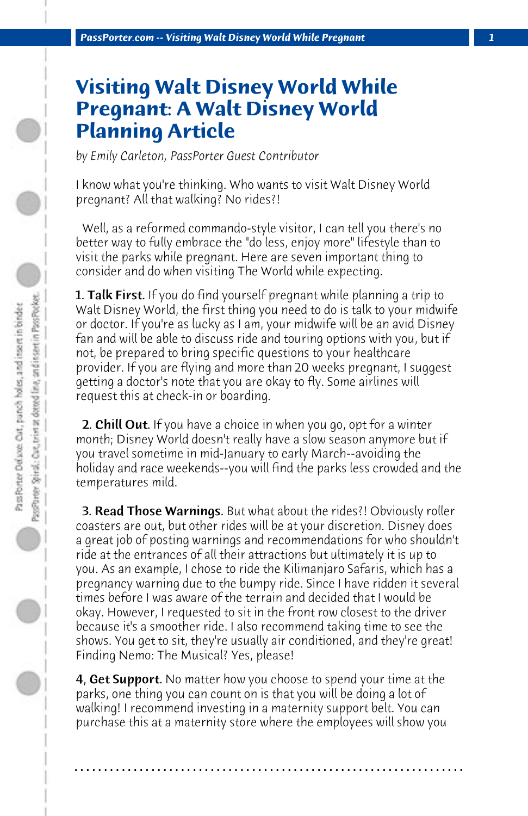## **Visiting Walt Disney World While Pregnant: A Walt Disney World Planning Article**

*by Emily Carleton, PassPorter Guest Contributor*

I know what you're thinking. Who wants to visit Walt Disney World pregnant? All that walking? No rides?!

 Well, as a reformed commando-style visitor, I can tell you there's no better way to fully embrace the "do less, enjoy more" lifestyle than to visit the parks while pregnant. Here are seven important thing to consider and do when visiting The World while expecting.

**1. Talk First.** If you do find yourself pregnant while planning a trip to Walt Disney World, the first thing you need to do is talk to your midwife or doctor. If you're as lucky as I am, your midwife will be an avid Disney fan and will be able to discuss ride and touring options with you, but if not, be prepared to bring specific questions to your healthcare provider. If you are flying and more than 20 weeks pregnant, I suggest getting a doctor's note that you are okay to fly. Some airlines will request this at check-in or boarding.

**2. Chill Out.** If you have a choice in when you go, opt for a winter month; Disney World doesn't really have a slow season anymore but if you travel sometime in mid-January to early March--avoiding the holiday and race weekends--you will find the parks less crowded and the temperatures mild.

 3. Read Those Warnings. But what about the rides?! Obviously roller coasters are out, but other rides will be at your discretion. Disney does a great job of posting warnings and recommendations for who shouldn't ride at the entrances of all their attractions but ultimately it is up to you. As an example, I chose to ride the Kilimanjaro Safaris, which has a pregnancy warning due to the bumpy ride. Since I have ridden it several times before I was aware of the terrain and decided that I would be okay. However, I requested to sit in the front row closest to the driver because it's a smoother ride. I also recommend taking time to see the shows. You get to sit, they're usually air conditioned, and they're great! Finding Nemo: The Musical? Yes, please!

**4, Get Support.** No matter how you choose to spend your time at the parks, one thing you can count on is that you will be doing a lot of walking! I recommend investing in a maternity support belt. You can purchase this at a maternity store where the employees will show you

**. . . . . . . . . . . . . . . . . . . . . . . . . . . . . . . . . . . . . . . . . . . . . . . . . . . . . . . . . . . . . . . . . .**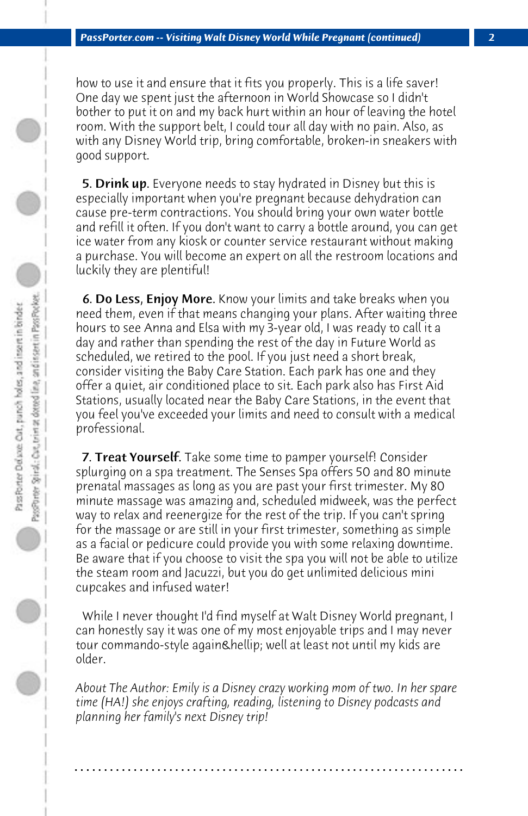how to use it and ensure that it fits you properly. This is a life saver! One day we spent just the afternoon in World Showcase so I didn't bother to put it on and my back hurt within an hour of leaving the hotel room. With the support belt, I could tour all day with no pain. Also, as with any Disney World trip, bring comfortable, broken-in sneakers with good support.

**5. Drink up.** Everyone needs to stay hydrated in Disney but this is especially important when you're pregnant because dehydration can cause pre-term contractions. You should bring your own water bottle and refill it often. If you don't want to carry a bottle around, you can get ice water from any kiosk or counter service restaurant without making a purchase. You will become an expert on all the restroom locations and luckily they are plentiful!

 6. Do Less, Enjoy More. Know your limits and take breaks when you need them, even if that means changing your plans. After waiting three hours to see Anna and Elsa with my 3-year old, I was ready to call it a day and rather than spending the rest of the day in Future World as scheduled, we retired to the pool. If you just need a short break, consider visiting the Baby Care Station. Each park has one and they offer a quiet, air conditioned place to sit. Each park also has First Aid Stations, usually located near the Baby Care Stations, in the event that you feel you've exceeded your limits and need to consult with a medical professional.

7. Treat Yourself. Take some time to pamper yourself! Consider splurging on a spa treatment. The Senses Spa offers 50 and 80 minute prenatal massages as long as you are past your first trimester. My 80 minute massage was amazing and, scheduled midweek, was the perfect way to relax and reenergize for the rest of the trip. If you can't spring for the massage or are still in your first trimester, something as simple as a facial or pedicure could provide you with some relaxing downtime. Be aware that if you choose to visit the spa you will not be able to utilize the steam room and Jacuzzi, but you do get unlimited delicious mini cupcakes and infused water!

 While I never thought I'd find myself at Walt Disney World pregnant, I can honestly say it was one of my most enjoyable trips and I may never tour commando-style again Chellip; well at least not until my kids are older.

*About The Author: Emily is a Disney crazy working mom of two. In her spare time (HA!) she enjoys crafting, reading, listening to Disney podcasts and planning her family's next Disney trip!*

**. . . . . . . . . . . . . . . . . . . . . . . . . . . . . . . . . . . . . . . . . . . . . . . . . . . . . . . . . . . . . . . . . .**